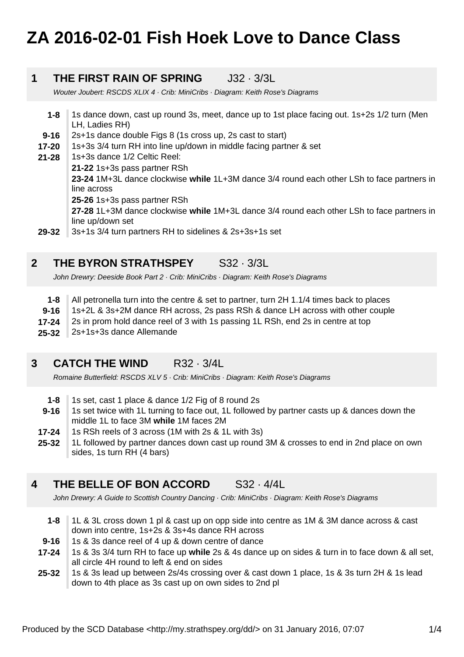# **ZA 2016-02-01 Fish Hoek Love to Dance Class**

#### **1 THE FIRST RAIN OF SPRING** J32 · 3/3L

Wouter Joubert: RSCDS XLIX 4 · Crib: MiniCribs · Diagram: Keith Rose's Diagrams

- **1-8** 1s dance down, cast up round 3s, meet, dance up to 1st place facing out. 1s+2s 1/2 turn (Men LH, Ladies RH)
- **9-16** 2s+1s dance double Figs 8 (1s cross up, 2s cast to start)
- **17-20** 1s+3s 3/4 turn RH into line up/down in middle facing partner & set
- **21-28** 1s+3s dance 1/2 Celtic Reel:
	- **21-22** 1s+3s pass partner RSh

**23-24** 1M+3L dance clockwise **while** 1L+3M dance 3/4 round each other LSh to face partners in line across

**25-26** 1s+3s pass partner RSh

**27-28** 1L+3M dance clockwise **while** 1M+3L dance 3/4 round each other LSh to face partners in line up/down set

**29-32** 3s+1s 3/4 turn partners RH to sidelines & 2s+3s+1s set

### **2 THE BYRON STRATHSPEY** S32 · 3/3L

John Drewry: Deeside Book Part 2 · Crib: MiniCribs · Diagram: Keith Rose's Diagrams

- **1-8** All petronella turn into the centre & set to partner, turn 2H 1.1/4 times back to places
- **9-16** 1s+2L & 3s+2M dance RH across, 2s pass RSh & dance LH across with other couple
- **17-24** 2s in prom hold dance reel of 3 with 1s passing 1L RSh, end 2s in centre at top
- **25-32** 2s+1s+3s dance Allemande

#### **3 CATCH THE WIND** R32 · 3/4L

Romaine Butterfield: RSCDS XLV 5 · Crib: MiniCribs · Diagram: Keith Rose's Diagrams

- **1-8** 1s set, cast 1 place & dance 1/2 Fig of 8 round 2s
- **9-16** 1s set twice with 1L turning to face out, 1L followed by partner casts up & dances down the middle 1L to face 3M **while** 1M faces 2M
- **17-24** 1s RSh reels of 3 across (1M with 2s & 1L with 3s)
- **25-32** 1L followed by partner dances down cast up round 3M & crosses to end in 2nd place on own sides, 1s turn RH (4 bars)

#### **4 THE BELLE OF BON ACCORD** S32 · 4/4L

John Drewry: A Guide to Scottish Country Dancing · Crib: MiniCribs · Diagram: Keith Rose's Diagrams

- **1-8** 1L & 3L cross down 1 pl & cast up on opp side into centre as 1M & 3M dance across & cast down into centre, 1s+2s & 3s+4s dance RH across
- **9-16** 1s & 3s dance reel of 4 up & down centre of dance
- **17-24** 1s & 3s 3/4 turn RH to face up **while** 2s & 4s dance up on sides & turn in to face down & all set, all circle 4H round to left & end on sides

**25-32** 1s & 3s lead up between 2s/4s crossing over & cast down 1 place, 1s & 3s turn 2H & 1s lead down to 4th place as 3s cast up on own sides to 2nd pl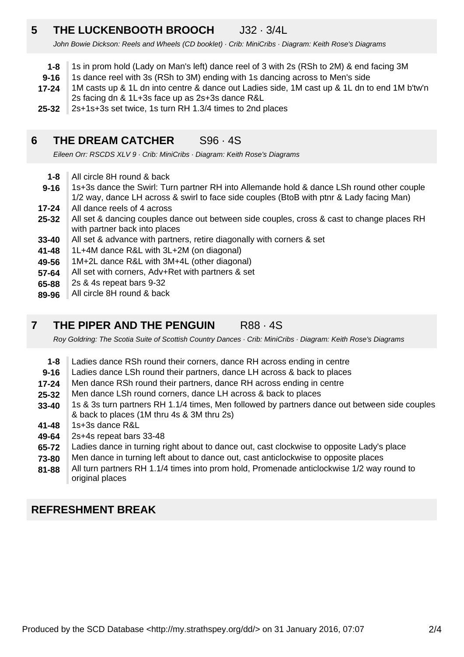### **5 THE LUCKENBOOTH BROOCH** J32 · 3/4L

John Bowie Dickson: Reels and Wheels (CD booklet) · Crib: MiniCribs · Diagram: Keith Rose's Diagrams

- **1-8** 1s in prom hold (Lady on Man's left) dance reel of 3 with 2s (RSh to 2M) & end facing 3M
- **9-16** 1s dance reel with 3s (RSh to 3M) ending with 1s dancing across to Men's side
- **17-24** 1M casts up & 1L dn into centre & dance out Ladies side, 1M cast up & 1L dn to end 1M b'tw'n 2s facing dn & 1L+3s face up as 2s+3s dance R&L
- **25-32** 2s+1s+3s set twice, 1s turn RH 1.3/4 times to 2nd places

### **6 THE DREAM CATCHER** S96 · 4S

Eileen Orr: RSCDS XLV 9 · Crib: MiniCribs · Diagram: Keith Rose's Diagrams

- **1-8** All circle 8H round & back
- **9-16** 1s+3s dance the Swirl: Turn partner RH into Allemande hold & dance LSh round other couple 1/2 way, dance LH across & swirl to face side couples (BtoB with ptnr & Lady facing Man)
- **17-24** All dance reels of 4 across
- **25-32** All set & dancing couples dance out between side couples, cross & cast to change places RH with partner back into places
- **33-40** All set & advance with partners, retire diagonally with corners & set
- **41-48** 1L+4M dance R&L with 3L+2M (on diagonal)
- **49-56** 1M+2L dance R&L with 3M+4L (other diagonal)
- **57-64** All set with corners, Adv+Ret with partners & set
- **65-88** 2s & 4s repeat bars 9-32
- **89-96** All circle 8H round & back

### **7 THE PIPER AND THE PENGUIN R88 · 4S**

Roy Goldring: The Scotia Suite of Scottish Country Dances · Crib: MiniCribs · Diagram: Keith Rose's Diagrams

- **1-8** Ladies dance RSh round their corners, dance RH across ending in centre
- **9-16** Ladies dance LSh round their partners, dance LH across & back to places
- **17-24** Men dance RSh round their partners, dance RH across ending in centre
- **25-32** Men dance LSh round corners, dance LH across & back to places
- **33-40** 1s & 3s turn partners RH 1.1/4 times, Men followed by partners dance out between side couples & back to places (1M thru 4s & 3M thru 2s)
- **41-48** 1s+3s dance R&L
- **49-64** 2s+4s repeat bars 33-48
- **65-72** Ladies dance in turning right about to dance out, cast clockwise to opposite Lady's place
- **73-80** Men dance in turning left about to dance out, cast anticlockwise to opposite places
- **81-88** All turn partners RH 1.1/4 times into prom hold, Promenade anticlockwise 1/2 way round to original places

## **REFRESHMENT BREAK**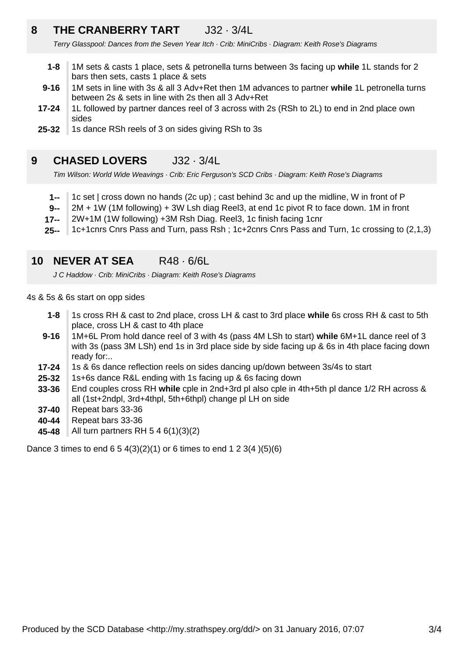### **8 THE CRANBERRY TART** J32 · 3/4L

Terry Glasspool: Dances from the Seven Year Itch · Crib: MiniCribs · Diagram: Keith Rose's Diagrams

- **1-8** 1M sets & casts 1 place, sets & petronella turns between 3s facing up **while** 1L stands for 2 bars then sets, casts 1 place & sets
- **9-16** 1M sets in line with 3s & all 3 Adv+Ret then 1M advances to partner **while** 1L petronella turns between 2s & sets in line with 2s then all 3 Adv+Ret
- **17-24** 1L followed by partner dances reel of 3 across with 2s (RSh to 2L) to end in 2nd place own sides
- **25-32** 1s dance RSh reels of 3 on sides giving RSh to 3s

#### **9 CHASED LOVERS** J32 · 3/4L

Tim Wilson: World Wide Weavings · Crib: Eric Ferguson's SCD Cribs · Diagram: Keith Rose's Diagrams

- **1--** 1c set | cross down no hands (2c up) ; cast behind 3c and up the midline, W in front of P
- **9--** 2M + 1W (1M following) + 3W Lsh diag Reel3, at end 1c pivot R to face down. 1M in front
- **17--** 2W+1M (1W following) +3M Rsh Diag. Reel3, 1c finish facing 1cnr
- **25--** 1c+1cnrs Cnrs Pass and Turn, pass Rsh ; 1c+2cnrs Cnrs Pass and Turn, 1c crossing to (2,1,3)

#### **10 NEVER AT SEA** R48 · 6/6L

J C Haddow · Crib: MiniCribs · Diagram: Keith Rose's Diagrams

4s & 5s & 6s start on opp sides

- **1-8** 1s cross RH & cast to 2nd place, cross LH & cast to 3rd place **while** 6s cross RH & cast to 5th place, cross LH & cast to 4th place
- **9-16** 1M+6L Prom hold dance reel of 3 with 4s (pass 4M LSh to start) **while** 6M+1L dance reel of 3 with 3s (pass 3M LSh) end 1s in 3rd place side by side facing up & 6s in 4th place facing down ready for:..
- **17-24** 1s & 6s dance reflection reels on sides dancing up/down between 3s/4s to start
- **25-32** 1s+6s dance R&L ending with 1s facing up & 6s facing down
- **33-36** End couples cross RH **while** cple in 2nd+3rd pl also cple in 4th+5th pl dance 1/2 RH across & all (1st+2ndpl, 3rd+4thpl, 5th+6thpl) change pl LH on side
- **37-40** Repeat bars 33-36
- **40-44** Repeat bars 33-36
- **45-48** All turn partners RH 5 4 6(1)(3)(2)

Dance 3 times to end  $6\ 5\ 4(3)(2)(1)$  or 6 times to end 1 2 3(4  $)(5)(6)$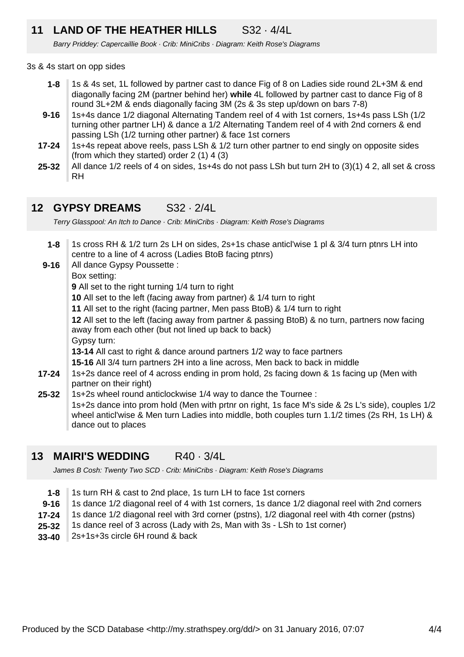### **11 LAND OF THE HEATHER HILLS** S32 · 4/4L

Barry Priddey: Capercaillie Book · Crib: MiniCribs · Diagram: Keith Rose's Diagrams

### 3s & 4s start on opp sides

- **1-8** 1s & 4s set, 1L followed by partner cast to dance Fig of 8 on Ladies side round 2L+3M & end diagonally facing 2M (partner behind her) **while** 4L followed by partner cast to dance Fig of 8 round 3L+2M & ends diagonally facing 3M (2s & 3s step up/down on bars 7-8)
- **9-16** 1s+4s dance 1/2 diagonal Alternating Tandem reel of 4 with 1st corners, 1s+4s pass LSh (1/2 turning other partner LH) & dance a 1/2 Alternating Tandem reel of 4 with 2nd corners & end passing LSh (1/2 turning other partner) & face 1st corners
- **17-24** 1s+4s repeat above reels, pass LSh & 1/2 turn other partner to end singly on opposite sides (from which they started) order 2 (1) 4 (3)
- **25-32** All dance 1/2 reels of 4 on sides, 1s+4s do not pass LSh but turn 2H to (3)(1) 4 2, all set & cross RH

### **12 GYPSY DREAMS** S32 · 2/4L

Terry Glasspool: An Itch to Dance · Crib: MiniCribs · Diagram: Keith Rose's Diagrams

**25-32 17-24 9-16 1-8** 1s cross RH & 1/2 turn 2s LH on sides, 2s+1s chase anticl'wise 1 pl & 3/4 turn ptnrs LH into centre to a line of 4 across (Ladies BtoB facing ptnrs) All dance Gypsy Poussette : Box setting: **9** All set to the right turning 1/4 turn to right **10** All set to the left (facing away from partner) & 1/4 turn to right **11** All set to the right (facing partner, Men pass BtoB) & 1/4 turn to right **12** All set to the left (facing away from partner & passing BtoB) & no turn, partners now facing away from each other (but not lined up back to back) Gypsy turn: **13-14** All cast to right & dance around partners 1/2 way to face partners **15-16** All 3/4 turn partners 2H into a line across, Men back to back in middle 1s+2s dance reel of 4 across ending in prom hold, 2s facing down & 1s facing up (Men with partner on their right) 1s+2s wheel round anticlockwise 1/4 way to dance the Tournee : 1s+2s dance into prom hold (Men with prtnr on right, 1s face M's side & 2s L's side), couples 1/2 wheel anticl'wise & Men turn Ladies into middle, both couples turn 1.1/2 times (2s RH, 1s LH) & dance out to places

### **13 MAIRI'S WEDDING** R40 · 3/4L

James B Cosh: Twenty Two SCD · Crib: MiniCribs · Diagram: Keith Rose's Diagrams

- **1-8** 1s turn RH & cast to 2nd place, 1s turn LH to face 1st corners
- **9-16** 1s dance 1/2 diagonal reel of 4 with 1st corners, 1s dance 1/2 diagonal reel with 2nd corners
- **17-24** 1s dance 1/2 diagonal reel with 3rd corner (pstns), 1/2 diagonal reel with 4th corner (pstns)
- **25-32** 1s dance reel of 3 across (Lady with 2s, Man with 3s - LSh to 1st corner)
- **33-40** 2s+1s+3s circle 6H round & back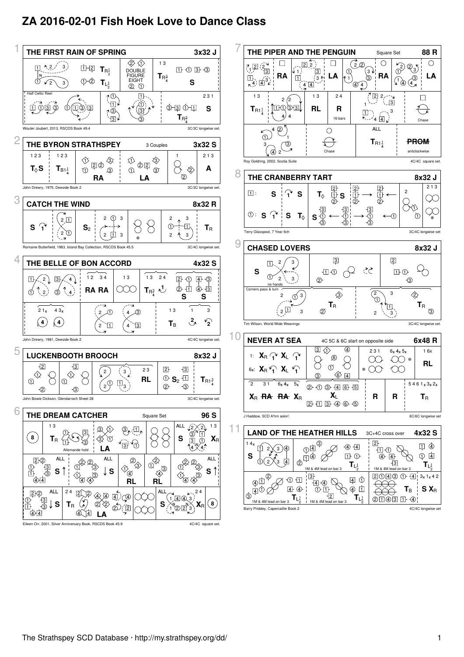## **ZA 2016-02-01 Fish Hoek Love to Dance Class**